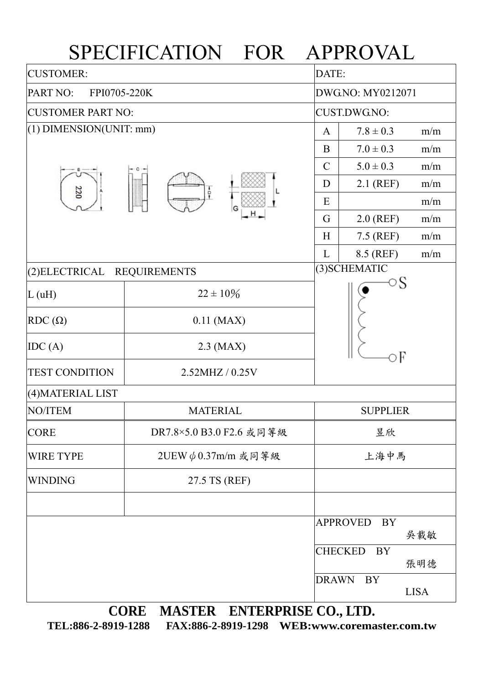## SPECIFICATION FOR APPROVAL

| <b>CUSTOMER:</b>                      |                          | DATE:               |                             |             |  |  |
|---------------------------------------|--------------------------|---------------------|-----------------------------|-------------|--|--|
| PART NO:<br>FPI0705-220K              |                          |                     | DWG.NO: MY0212071           |             |  |  |
| <b>CUSTOMER PART NO:</b>              |                          | <b>CUST.DWG.NO:</b> |                             |             |  |  |
| $(1)$ DIMENSION(UNIT: mm)             | $\mathbf{A}$             | $7.8 \pm 0.3$       | m/m                         |             |  |  |
|                                       |                          | B                   | $7.0 \pm 0.3$               | m/m         |  |  |
|                                       | ÷<br>G                   | $\mathcal{C}$       | $5.0 \pm 0.3$               | m/m         |  |  |
| 220                                   |                          | D                   | $2.1$ (REF)                 | m/m         |  |  |
|                                       |                          | E                   |                             | m/m         |  |  |
|                                       |                          | G                   | $2.0$ (REF)                 | m/m         |  |  |
|                                       |                          | H                   | 7.5 (REF)                   | m/m         |  |  |
|                                       |                          | L                   | 8.5 (REF)                   | m/m         |  |  |
| (2) ELECTRICAL<br><b>REQUIREMENTS</b> |                          | (3) SCHEMATIC       |                             |             |  |  |
| L(uH)                                 | $22 \pm 10\%$            |                     | ○S<br>эF                    |             |  |  |
| $RDC(\Omega)$                         | $0.11$ (MAX)             |                     |                             |             |  |  |
| IDC(A)                                | $2.3$ (MAX)              |                     |                             |             |  |  |
| <b>TEST CONDITION</b>                 | 2.52MHZ / 0.25V          |                     |                             |             |  |  |
| (4) MATERIAL LIST                     |                          |                     |                             |             |  |  |
| <b>NO/ITEM</b>                        | <b>MATERIAL</b>          |                     | <b>SUPPLIER</b>             |             |  |  |
| <b>CORE</b>                           | DR7.8×5.0 B3.0 F2.6 或同等級 |                     | 昱欣                          |             |  |  |
| <b>WIRE TYPE</b>                      | 2UEW $\phi$ 0.37m/m 或同等級 |                     | 上海中馬                        |             |  |  |
| <b>WINDING</b>                        | 27.5 TS (REF)            |                     |                             |             |  |  |
|                                       |                          |                     |                             |             |  |  |
|                                       |                          |                     | <b>APPROVED</b><br>BY       | 吳載敏         |  |  |
|                                       |                          |                     | <b>CHECKED</b><br><b>BY</b> | 張明德         |  |  |
|                                       |                          | <b>DRAWN</b>        | BY                          | <b>LISA</b> |  |  |

**CORE MASTER ENTERPRISE CO., LTD.** 

**TEL:886-2-8919-1288 FAX:886-2-8919-1298 WEB:www.coremaster.com.tw**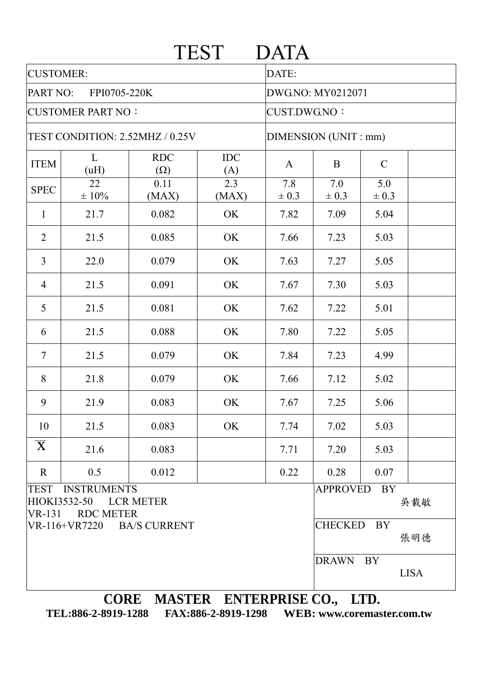|                                                                          |                  |                                  | <b>TEST</b>       | <b>DATA</b>          |                                     |                  |  |  |
|--------------------------------------------------------------------------|------------------|----------------------------------|-------------------|----------------------|-------------------------------------|------------------|--|--|
| <b>CUSTOMER:</b>                                                         |                  |                                  |                   | DATE:                |                                     |                  |  |  |
| PART NO:<br>FPI0705-220K                                                 |                  |                                  |                   | DWG.NO: MY0212071    |                                     |                  |  |  |
| <b>CUSTOMER PART NO:</b>                                                 |                  |                                  |                   | <b>CUST.DWG.NO:</b>  |                                     |                  |  |  |
| TEST CONDITION: 2.52MHZ / 0.25V                                          |                  |                                  |                   | DIMENSION (UNIT: mm) |                                     |                  |  |  |
| <b>ITEM</b>                                                              | L<br>(uH)        | <b>RDC</b><br>$(\Omega)$         | <b>IDC</b><br>(A) | $\mathbf{A}$         | B                                   | $\mathcal{C}$    |  |  |
| <b>SPEC</b>                                                              | 22<br>$\pm 10\%$ | 0.11<br>(MAX)                    | 2.3<br>(MAX)      | 7.8<br>$\pm 0.3$     | 7.0<br>$\pm 0.3$                    | 5.0<br>$\pm 0.3$ |  |  |
| $\mathbf{1}$                                                             | 21.7             | 0.082                            | OK                | 7.82                 | 7.09                                | 5.04             |  |  |
| $\overline{2}$                                                           | 21.5             | 0.085                            | OK                | 7.66                 | 7.23                                | 5.03             |  |  |
| 3                                                                        | 22.0             | 0.079                            | OK                | 7.63                 | 7.27                                | 5.05             |  |  |
| $\overline{4}$                                                           | 21.5             | 0.091                            | OK                | 7.67                 | 7.30                                | 5.03             |  |  |
| 5                                                                        | 21.5             | 0.081                            | OK                | 7.62                 | 7.22                                | 5.01             |  |  |
| 6                                                                        | 21.5             | 0.088                            | OK                | 7.80                 | 7.22                                | 5.05             |  |  |
| $\overline{7}$                                                           | 21.5             | 0.079                            | OK                | 7.84                 | 7.23                                | 4.99             |  |  |
| 8                                                                        | 21.8             | 0.079                            | OK                | 7.66                 | 7.12                                | 5.02             |  |  |
| 9                                                                        | 21.9             | 0.083                            | OK                | 7.67                 | 7.25                                | 5.06             |  |  |
| 10                                                                       | 21.5             | 0.083                            | OK                | 7.74                 | 7.02                                | 5.03             |  |  |
| $\overline{\mathbf{X}}$                                                  | 21.6             | 0.083                            |                   | 7.71                 | 7.20                                | 5.03             |  |  |
| $\mathbf{R}$                                                             | 0.5              | 0.012                            |                   | 0.22                 | 0.28                                | 0.07             |  |  |
| TEST INSTRUMENTS<br>HIOKI3532-50 LCR METER<br>VR-131<br><b>RDC METER</b> |                  |                                  |                   |                      | <b>APPROVED</b><br><b>BY</b><br>吳載敏 |                  |  |  |
| VR-116+VR7220 BA/S CURRENT                                               |                  |                                  |                   |                      | <b>CHECKED</b><br><b>BY</b><br>張明德  |                  |  |  |
|                                                                          |                  |                                  |                   |                      | DRAWN BY<br><b>LISA</b>             |                  |  |  |
|                                                                          |                  | CORE MASTER ENTERPRISE CO., LTD. |                   |                      |                                     |                  |  |  |

**TEL:886-2-8919-1288 FAX:886-2-8919-1298 WEB: www.coremaster.com.tw**